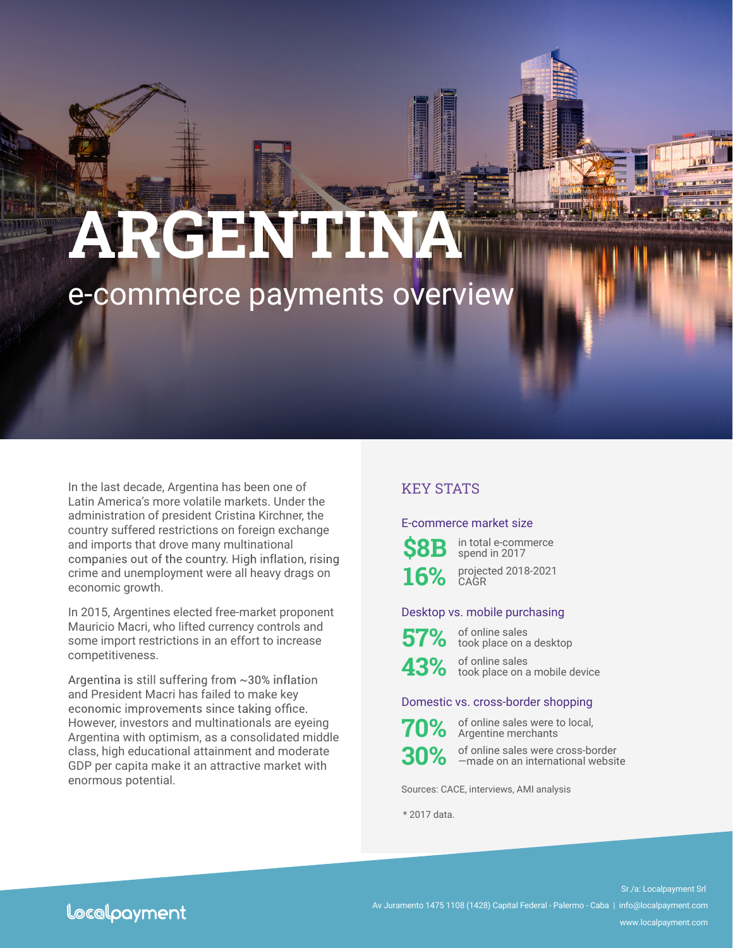# **ARGENTINA** e-commerce payments overview

In the last decade, Argentina has been one of Latin America's more volatile markets. Under the administration of president Cristina Kirchner, the country suffered restrictions on foreign exchange and imports that drove many multinational companies out of the country. High inflation, rising crime and unemployment were all heavy drags on economic growth.

In 2015, Argentines elected free-market proponent Mauricio Macri, who lifted currency controls and some import restrictions in an effort to increase competitiveness.

Argentina is still suffering from ~30% inflation and President Macri has failed to make key economic improvements since taking office. However, investors and multinationals are eyeing Argentina with optimism, as a consolidated middle class, high educational attainment and moderate GDP per capita make it an attractive market with enormous potential.

# KEY STATS

#### E-commerce market size



in total e-commerce spend in 2017



16% projected 2018-2021 **CAGR** 

#### Desktop vs. mobile purchasing



**57%** of online sales took place on a desktop

**43%** of online sales took place on a mobile device

#### Domestic vs. cross-border shopping



of online sales were to local, Argentine merchants



of online sales were cross-border —made on an international website

Sources: CACE, interviews, AMI analysis

\* 2017 data.

# Locolpayment

Sr./a: Localpayment Srl Av Juramento 1475 1108 (1428) Capital Federal - Palermo - Caba | info@localpayment.com www.localpayment.com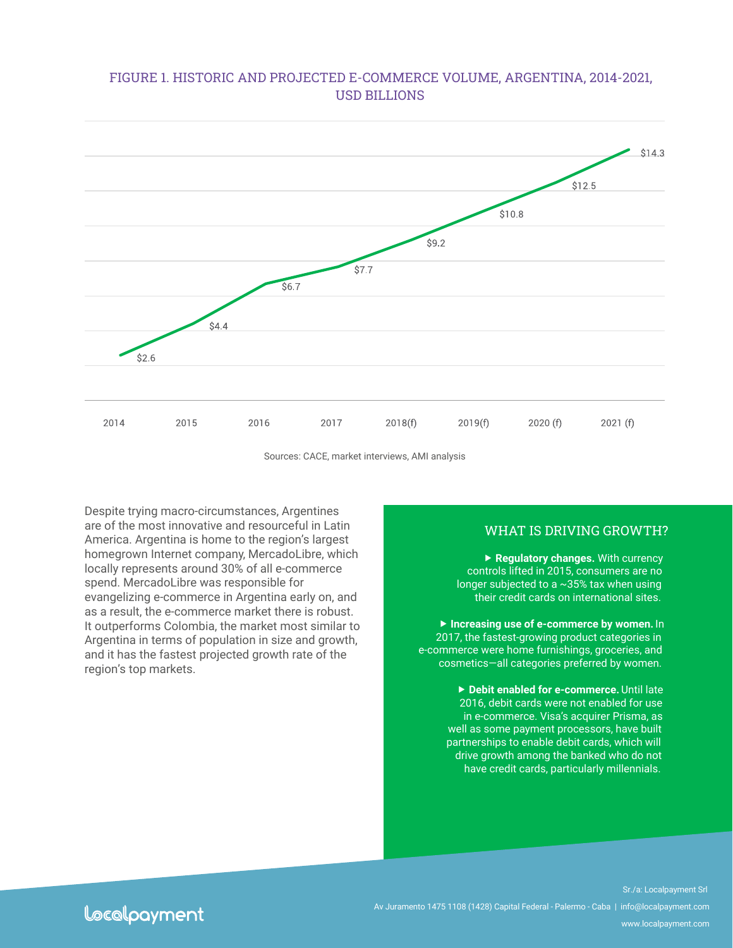## FIGURE 1. HISTORIC AND PROJECTED E-COMMERCE VOLUME, ARGENTINA, 2014-2021, USD BILLIONS



Sources: CACE, market interviews, AMI analysis

Despite trying macro-circumstances, Argentines are of the most innovative and resourceful in Latin America. Argentina is home to the region's largest homegrown Internet company, MercadoLibre, which locally represents around 30% of all e-commerce spend. MercadoLibre was responsible for evangelizing e-commerce in Argentina early on, and as a result, the e-commerce market there is robust. It outperforms Colombia, the market most similar to Argentina in terms of population in size and growth, and it has the fastest projected growth rate of the region's top markets.

#### WHAT IS DRIVING GROWTH?

 **Regulatory changes.** With currency controls lifted in 2015, consumers are no longer subjected to a ~35% tax when using their credit cards on international sites.

 **Increasing use of e-commerce by women.** In 2017, the fastest-growing product categories in e-commerce were home furnishings, groceries, and cosmetics—all categories preferred by women.

> **Debit enabled for e-commerce.** Until late 2016, debit cards were not enabled for use in e-commerce. Visa's acquirer Prisma, as well as some payment processors, have built partnerships to enable debit cards, which will drive growth among the banked who do not have credit cards, particularly millennials.

Locolpayment

Sr./a: Localpayment Srl Av Juramento 1475 1108 (1428) Capital Federal - Palermo - Caba | info@localpayment.com www.localpayment.com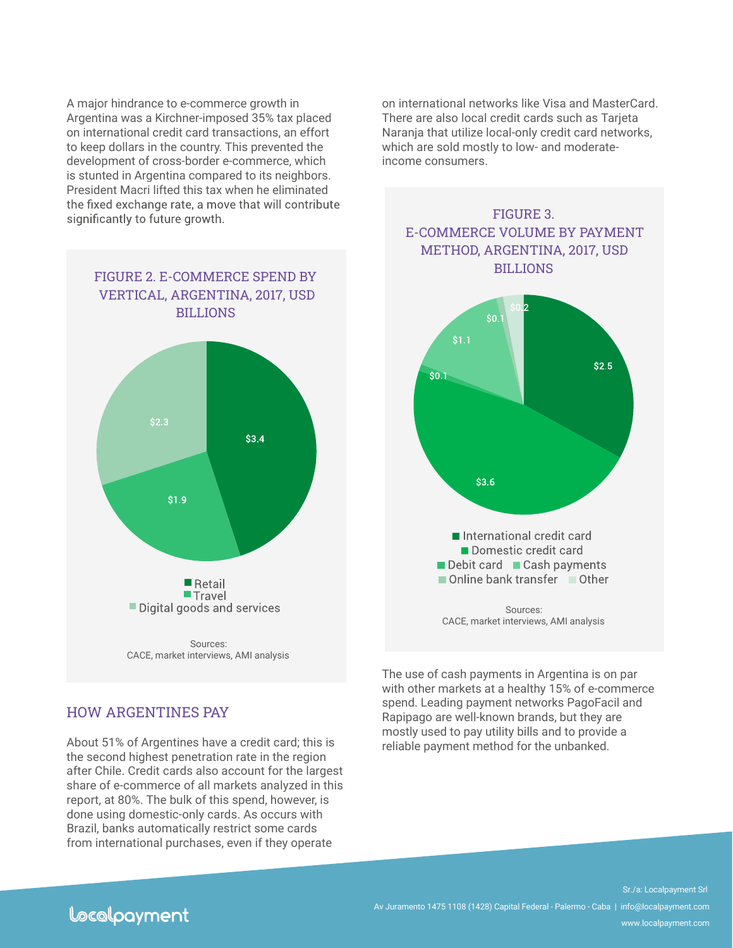A major hindrance to e-commerce growth in Argentina was a Kirchner-imposed 35% tax placed on international credit card transactions, an effort to keep dollars in the country. This prevented the development of cross-border e-commerce, which is stunted in Argentina compared to its neighbors. President Macri lifted this tax when he eliminated significantly to future growth.

FIGURE 2. E-COMMERCE SPEND BY VERTICAL, ARGENTINA, 2017, USD BILLIONS  $$3.4$  $$1.9$  $\blacksquare$  Retail **Travel** Digital goods and services Sources: CACE, market interviews, AMI analysis

on international networks like Visa and MasterCard. There are also local credit cards such as Tarjeta Naranja that utilize local-only credit card networks, which are sold mostly to low- and moderateincome consumers.



The use of cash payments in Argentina is on par with other markets at a healthy 15% of e-commerce spend. Leading payment networks PagoFacil and Rapipago are well-known brands, but they are mostly used to pay utility bills and to provide a reliable payment method for the unbanked.

## HOW ARGENTINES PAY

About 51% of Argentines have a credit card; this is the second highest penetration rate in the region after Chile. Credit cards also account for the largest share of e-commerce of all markets analyzed in this report, at 80%. The bulk of this spend, however, is done using domestic-only cards. As occurs with Brazil, banks automatically restrict some cards from international purchases, even if they operate

# Locolpayment